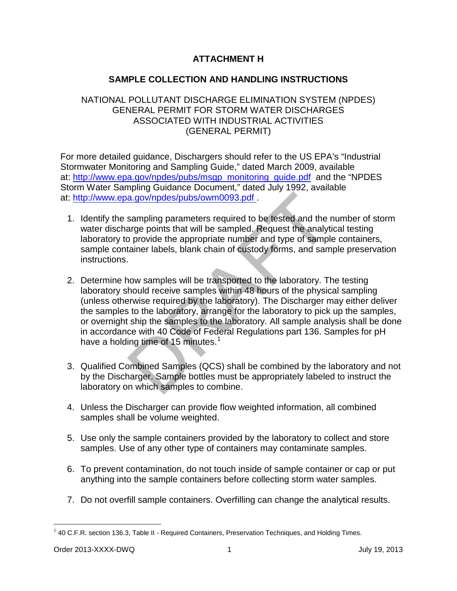## **ATTACHMENT H**

## **SAMPLE COLLECTION AND HANDLING INSTRUCTIONS**

## NATIONAL POLLUTANT DISCHARGE ELIMINATION SYSTEM (NPDES) GENERAL PERMIT FOR STORM WATER DISCHARGES ASSOCIATED WITH INDUSTRIAL ACTIVITIES (GENERAL PERMIT)

For more detailed guidance, Dischargers should refer to the US EPA's "Industrial Stormwater Monitoring and Sampling Guide," dated March 2009, available at: [http://www.epa.gov/npdes/pubs/msgp\\_monitoring\\_guide.pdf](http://www.epa.gov/npdes/pubs/msgp_monitoring_guide.pdf) and the "NPDES Storm Water Sampling Guidance Document," dated July 1992, available at: <http://www.epa.gov/npdes/pubs/owm0093.pdf> .

- 1. Identify the sampling parameters required to be tested and the number of storm water discharge points that will be sampled. Request the analytical testing laboratory to provide the appropriate number and type of sample containers, sample container labels, blank chain of custody forms, and sample preservation instructions.
- a.gov/npdes/pubs/owm0093.pdf.<br>sampling parameters required to be tested and the<br>arge points that will be sampled. [R](#page-0-0)equest the analyt<br>o provide the appropriate number and type of sampl<br>tainer labels, blank chain of custody 2. Determine how samples will be transported to the laboratory. The testing laboratory should receive samples within 48 hours of the physical sampling (unless otherwise required by the laboratory). The Discharger may either deliver the samples to the laboratory, arrange for the laboratory to pick up the samples, or overnight ship the samples to the laboratory. All sample analysis shall be done in accordance with 40 Code of Federal Regulations part 136. Samples for pH have a holding time of 15 minutes.<sup>1</sup>
- 3. Qualified Combined Samples (QCS) shall be combined by the laboratory and not by the Discharger. Sample bottles must be appropriately labeled to instruct the laboratory on which samples to combine.
- 4. Unless the Discharger can provide flow weighted information, all combined samples shall be volume weighted.
- 5. Use only the sample containers provided by the laboratory to collect and store samples. Use of any other type of containers may contaminate samples.
- 6. To prevent contamination, do not touch inside of sample container or cap or put anything into the sample containers before collecting storm water samples.
- 7. Do not overfill sample containers. Overfilling can change the analytical results.

 $\overline{a}$ 

<span id="page-0-0"></span> $1$  40 C.F.R. section 136.3, Table II - Required Containers, Preservation Techniques, and Holding Times.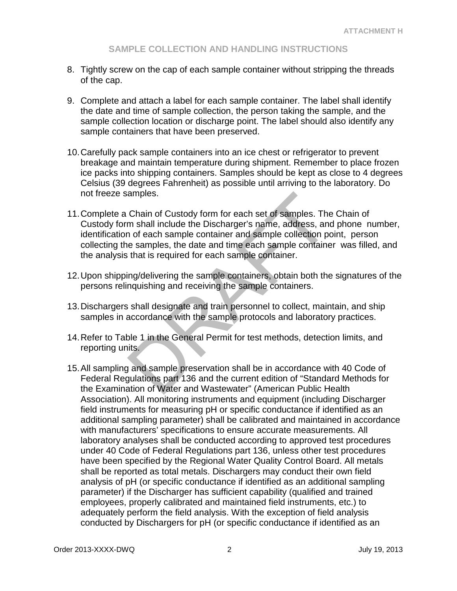- 8. Tightly screw on the cap of each sample container without stripping the threads of the cap.
- 9. Complete and attach a label for each sample container. The label shall identify the date and time of sample collection, the person taking the sample, and the sample collection location or discharge point. The label should also identify any sample containers that have been preserved.
- 10.Carefully pack sample containers into an ice chest or refrigerator to prevent breakage and maintain temperature during shipment. Remember to place frozen ice packs into shipping containers. Samples should be kept as close to 4 degrees Celsius (39 degrees Fahrenheit) as possible until arriving to the laboratory. Do not freeze samples.
- amples.<br>Chain of Custody form for each set of samples. The m shall include the Discharger's name, address, and of each sample container and sample collection per samples, the date and time each sample container.<br>
that is r 11.Complete a Chain of Custody form for each set of samples. The Chain of Custody form shall include the Discharger's name, address, and phone number, identification of each sample container and sample collection point, person collecting the samples, the date and time each sample container was filled, and the analysis that is required for each sample container.
- 12.Upon shipping/delivering the sample containers, obtain both the signatures of the persons relinquishing and receiving the sample containers.
- 13.Dischargers shall designate and train personnel to collect, maintain, and ship samples in accordance with the sample protocols and laboratory practices.
- 14.Refer to Table 1 in the General Permit for test methods, detection limits, and reporting units.
- 15.All sampling and sample preservation shall be in accordance with 40 Code of Federal Regulations part 136 and the current edition of "Standard Methods for the Examination of Water and Wastewater" (American Public Health Association). All monitoring instruments and equipment (including Discharger field instruments for measuring pH or specific conductance if identified as an additional sampling parameter) shall be calibrated and maintained in accordance with manufacturers' specifications to ensure accurate measurements. All laboratory analyses shall be conducted according to approved test procedures under 40 Code of Federal Regulations part 136, unless other test procedures have been specified by the Regional Water Quality Control Board. All metals shall be reported as total metals. Dischargers may conduct their own field analysis of pH (or specific conductance if identified as an additional sampling parameter) if the Discharger has sufficient capability (qualified and trained employees, properly calibrated and maintained field instruments, etc.) to adequately perform the field analysis. With the exception of field analysis conducted by Dischargers for pH (or specific conductance if identified as an